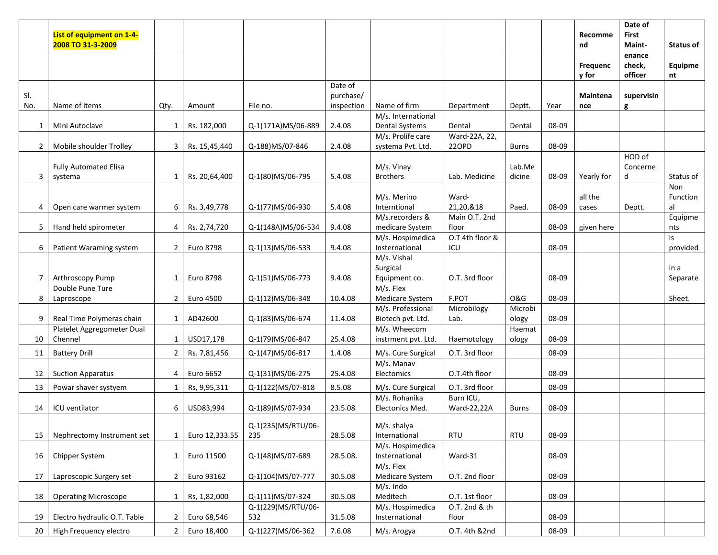|                 | List of equipment on 1-4-               |                |                |                    |                      |                                        |                        |                  |       | Recomme           | Date of<br>First   |                  |
|-----------------|-----------------------------------------|----------------|----------------|--------------------|----------------------|----------------------------------------|------------------------|------------------|-------|-------------------|--------------------|------------------|
|                 | 2008 TO 31-3-2009                       |                |                |                    |                      |                                        |                        |                  |       | nd                | Maint-<br>enance   | <b>Status of</b> |
|                 |                                         |                |                |                    |                      |                                        |                        |                  |       | Frequenc<br>y for | check,<br>officer  | Equipme<br>nt    |
| SI.             |                                         |                |                |                    | Date of<br>purchase/ |                                        |                        |                  |       | Maintena          | supervisin         |                  |
| No.             | Name of items                           | Qty.           | Amount         | File no.           | inspection           | Name of firm                           | Department             | Deptt.           | Year  | nce               | g                  |                  |
| $\mathbf{1}$    | Mini Autoclave                          | $\mathbf{1}$   | Rs. 182,000    | Q-1(171A)MS/06-889 | 2.4.08               | M/s. International<br>Dental Systems   | Dental                 | Dental           | 08-09 |                   |                    |                  |
| $\overline{2}$  | Mobile shoulder Trolley                 | 3              | Rs. 15,45,440  | Q-188)MS/07-846    | 2.4.08               | M/s. Prolife care<br>systema Pvt. Ltd. | Ward-22A, 22,<br>220PD | <b>Burns</b>     | 08-09 |                   |                    |                  |
|                 |                                         |                |                |                    |                      | M/s. Vinay                             |                        | Lab.Me           |       |                   | HOD of<br>Concerne |                  |
| 3               | <b>Fully Automated Elisa</b><br>systema | 1              | Rs. 20,64,400  | Q-1(80)MS/06-795   | 5.4.08               | <b>Brothers</b>                        | Lab. Medicine          | dicine           | 08-09 | Yearly for        | d                  | Status of        |
|                 |                                         |                |                |                    |                      |                                        |                        |                  |       |                   |                    | Non              |
|                 |                                         |                |                |                    |                      | M/s. Merino                            | Ward-                  |                  |       | all the           |                    | Function         |
| 4               | Open care warmer system                 | 6              | Rs. 3,49,778   | Q-1(77)MS/06-930   | 5.4.08               | Interntional                           | 21,20,&18              | Paed.            | 08-09 | cases             | Deptt.             | al               |
|                 |                                         |                |                |                    |                      | M/s.recorders &                        | Main O.T. 2nd          |                  |       |                   |                    | Equipme          |
| 5               | Hand held spirometer                    | 4              | Rs. 2,74,720   | Q-1(148A)MS/06-534 | 9.4.08               | medicare System                        | floor                  |                  | 08-09 | given here        |                    | nts              |
|                 |                                         |                |                |                    |                      | M/s. Hospimedica                       | O.T 4th floor &        |                  |       |                   |                    | is               |
| 6               | Patient Waraming system                 | $\overline{2}$ | Euro 8798      | Q-1(13)MS/06-533   | 9.4.08               | Insternational                         | ICU                    |                  | 08-09 |                   |                    | provided         |
|                 |                                         |                |                |                    |                      | M/s. Vishal                            |                        |                  |       |                   |                    |                  |
|                 |                                         |                |                |                    |                      | Surgical                               |                        |                  |       |                   |                    | in a             |
| 7               | Arthroscopy Pump                        | 1              | Euro 8798      | Q-1(51)MS/06-773   | 9.4.08               | Equipment co.                          | O.T. 3rd floor         |                  | 08-09 |                   |                    | Separate         |
|                 | Double Pune Ture                        |                |                |                    |                      | M/s. Flex                              |                        |                  |       |                   |                    |                  |
| 8               | Laproscope                              | $\overline{2}$ | Euro 4500      | Q-1(12)MS/06-348   | 10.4.08              | Medicare System                        | F.POT                  | <b>O&amp;G</b>   | 08-09 |                   |                    | Sheet.           |
| 9               | Real Time Polymeras chain               | $\mathbf{1}$   | AD42600        | Q-1(83)MS/06-674   | 11.4.08              | M/s. Professional<br>Biotech pvt. Ltd. | Microbilogy<br>Lab.    | Microbi<br>ology | 08-09 |                   |                    |                  |
|                 | Platelet Aggregometer Dual              |                |                |                    |                      | M/s. Wheecom                           |                        | Haemat           |       |                   |                    |                  |
| 10              | Chennel                                 | 1              | USD17,178      | Q-1(79)MS/06-847   | 25.4.08              | instrment pvt. Ltd.                    | Haemotology            | ology            | 08-09 |                   |                    |                  |
| 11              | <b>Battery Drill</b>                    | $\overline{2}$ | Rs. 7,81,456   | Q-1(47)MS/06-817   | 1.4.08               | M/s. Cure Surgical                     | O.T. 3rd floor         |                  | 08-09 |                   |                    |                  |
|                 |                                         |                |                |                    |                      | M/s. Manav                             |                        |                  |       |                   |                    |                  |
| 12              | <b>Suction Apparatus</b>                | 4              | Euro 6652      | Q-1(31)MS/06-275   | 25.4.08              | Electomics                             | O.T.4th floor          |                  | 08-09 |                   |                    |                  |
| 13              | Powar shaver systyem                    | $\mathbf{1}$   | Rs, 9,95,311   | Q-1(122)MS/07-818  | 8.5.08               | M/s. Cure Surgical                     | O.T. 3rd floor         |                  | 08-09 |                   |                    |                  |
|                 |                                         |                |                |                    |                      | M/s. Rohanika                          | Burn ICU,              |                  |       |                   |                    |                  |
| 14              | ICU ventilator                          | 6              | USD83,994      | Q-1(89)MS/07-934   | 23.5.08              | Electonics Med.                        | Ward-22,22A            | <b>Burns</b>     | 08-09 |                   |                    |                  |
|                 |                                         |                |                |                    |                      |                                        |                        |                  |       |                   |                    |                  |
|                 |                                         |                |                | Q-1(235)MS/RTU/06- |                      | M/s. shalya                            |                        |                  |       |                   |                    |                  |
| 15              | Nephrectomy Instrument set              | 1              | Euro 12,333.55 | 235                | 28.5.08              | International<br>M/s. Hospimedica      | RTU                    | <b>RTU</b>       | 08-09 |                   |                    |                  |
| 16              |                                         | 1              | Euro 11500     |                    | 28.5.08.             | Insternational                         | Ward-31                |                  | 08-09 |                   |                    |                  |
|                 | Chipper System                          |                |                | Q-1(48)MS/07-689   |                      | M/s. Flex                              |                        |                  |       |                   |                    |                  |
| 17              | Laproscopic Surgery set                 | $\overline{2}$ | Euro 93162     | Q-1(104)MS/07-777  | 30.5.08              | Medicare System                        | O.T. 2nd floor         |                  | 08-09 |                   |                    |                  |
|                 |                                         |                |                |                    |                      | M/s. Indo                              |                        |                  |       |                   |                    |                  |
| 18              | <b>Operating Microscope</b>             | $\mathbf{1}$   | Rs, 1,82,000   | Q-1(11)MS/07-324   | 30.5.08              | Meditech                               | O.T. 1st floor         |                  | 08-09 |                   |                    |                  |
|                 |                                         |                |                | Q-1(229)MS/RTU/06- |                      | M/s. Hospimedica                       | O.T. 2nd & th          |                  |       |                   |                    |                  |
| 19              | Electro hydraulic O.T. Table            | $\mathbf{2}$   | Euro 68,546    | 532                | 31.5.08              | Insternational                         | floor                  |                  | 08-09 |                   |                    |                  |
| 20 <sup>1</sup> | High Frequency electro                  | $\overline{2}$ | Euro 18,400    | Q-1(227)MS/06-362  | 7.6.08               | M/s. Arogya                            | O.T. 4th &2nd          |                  | 08-09 |                   |                    |                  |
|                 |                                         |                |                |                    |                      |                                        |                        |                  |       |                   |                    |                  |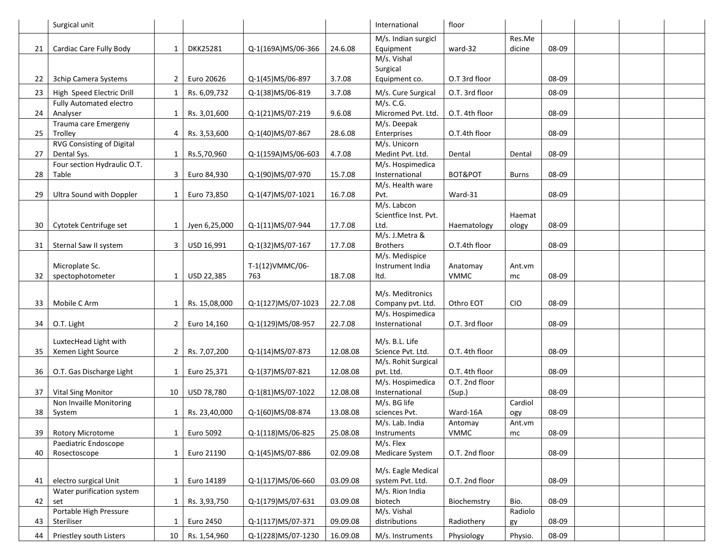|    | Surgical unit                                        |                |                 |                    |          | International                          | floor          |               |       |  |  |
|----|------------------------------------------------------|----------------|-----------------|--------------------|----------|----------------------------------------|----------------|---------------|-------|--|--|
|    |                                                      |                |                 |                    |          | M/s. Indian surgicl                    |                | Res.Me        |       |  |  |
| 21 | Cardiac Care Fully Body                              | $\mathbf{1}$   | <b>DKK25281</b> | Q-1(169A)MS/06-366 | 24.6.08  | Equipment                              | ward-32        | dicine        | 08-09 |  |  |
|    |                                                      |                |                 |                    |          | M/s. Vishal                            |                |               |       |  |  |
| 22 | 3chip Camera Systems                                 | $\overline{2}$ | Euro 20626      | Q-1(45)MS/06-897   | 3.7.08   | Surgical<br>Equipment co.              | O.T 3rd floor  |               | 08-09 |  |  |
|    |                                                      |                |                 |                    |          |                                        |                |               |       |  |  |
| 23 | High Speed Electric Drill<br>Fully Automated electro | $\mathbf{1}$   | Rs. 6,09,732    | Q-1(38)MS/06-819   | 3.7.08   | M/s. Cure Surgical<br>M/s. C.G.        | O.T. 3rd floor |               | 08-09 |  |  |
| 24 | Analyser                                             | $\mathbf{1}$   | Rs. 3,01,600    | Q-1(21)MS/07-219   | 9.6.08   | Micromed Pvt. Ltd.                     | O.T. 4th floor |               | 08-09 |  |  |
|    | Trauma care Emergeny                                 |                |                 |                    |          | $\overline{M}/s$ . Deepak              |                |               |       |  |  |
| 25 | Trolley                                              | 4              | Rs. 3,53,600    | Q-1(40)MS/07-867   | 28.6.08  | Enterprises                            | O.T.4th floor  |               | 08-09 |  |  |
|    | RVG Consisting of Digital                            |                |                 |                    |          | M/s. Unicorn                           |                |               |       |  |  |
| 27 | Dental Sys.                                          | $\mathbf{1}$   | Rs.5,70,960     | Q-1(159A)MS/06-603 | 4.7.08   | Medint Pvt. Ltd.                       | Dental         | Dental        | 08-09 |  |  |
|    | Four section Hydraulic O.T.                          |                |                 |                    |          | M/s. Hospimedica                       |                |               |       |  |  |
| 28 | Table                                                | 3              | Euro 84,930     | Q-1(90)MS/07-970   | 15.7.08  | Insternational                         | BOT&POT        | <b>Burns</b>  | 08-09 |  |  |
| 29 | Ultra Sound with Doppler                             | $\mathbf{1}$   | Euro 73,850     |                    | 16.7.08  | M/s. Health ware<br>Pvt.               | Ward-31        |               | 08-09 |  |  |
|    |                                                      |                |                 | Q-1(47)MS/07-1021  |          | M/s. Labcon                            |                |               |       |  |  |
|    |                                                      |                |                 |                    |          | Scientfice Inst. Pvt.                  |                | Haemat        |       |  |  |
| 30 | Cytotek Centrifuge set                               | $\mathbf{1}$   | Jyen 6,25,000   | Q-1(11)MS/07-944   | 17.7.08  | Ltd.                                   | Haematology    | ology         | 08-09 |  |  |
|    |                                                      |                |                 |                    |          | M/s. J.Metra &                         |                |               |       |  |  |
| 31 | Sternal Saw II system                                | 3              | USD 16,991      | Q-1(32)MS/07-167   | 17.7.08  | <b>Brothers</b>                        | O.T.4th floor  |               | 08-09 |  |  |
|    |                                                      |                |                 |                    |          | M/s. Medispice                         |                |               |       |  |  |
|    | Microplate Sc.                                       |                |                 | T-1(12) VMMC/06-   |          | Instrument India                       | Anatomay       | Ant.vm        |       |  |  |
| 32 | spectophotometer                                     | $\mathbf{1}$   | USD 22,385      | 763                | 18.7.08  | Itd.                                   | <b>VMMC</b>    | mc            | 08-09 |  |  |
|    |                                                      |                |                 |                    |          | M/s. Meditronics                       |                |               |       |  |  |
| 33 | Mobile C Arm                                         | $\mathbf{1}$   | Rs. 15,08,000   | Q-1(127)MS/07-1023 | 22.7.08  | Company pvt. Ltd.                      | Othro EOT      | <b>CIO</b>    | 08-09 |  |  |
|    |                                                      |                |                 |                    |          | M/s. Hospimedica                       |                |               |       |  |  |
| 34 | O.T. Light                                           | $\overline{2}$ | Euro 14,160     | Q-1(129)MS/08-957  | 22.7.08  | Insternational                         | O.T. 3rd floor |               | 08-09 |  |  |
|    | LuxtecHead Light with                                |                |                 |                    |          | M/s. B.L. Life                         |                |               |       |  |  |
| 35 | Xemen Light Source                                   | $\overline{2}$ | Rs. 7,07,200    | Q-1(14)MS/07-873   | 12.08.08 | Science Pvt. Ltd.                      | O.T. 4th floor |               | 08-09 |  |  |
|    |                                                      |                |                 |                    |          | M/s. Rohit Surgical                    |                |               |       |  |  |
| 36 | O.T. Gas Discharge Light                             | $\mathbf{1}$   | Euro 25,371     | Q-1(37)MS/07-821   | 12.08.08 | pvt. Ltd.                              | O.T. 4th floor |               | 08-09 |  |  |
|    |                                                      |                |                 |                    |          | M/s. Hospimedica                       | O.T. 2nd floor |               |       |  |  |
| 37 | <b>Vital Sing Monitor</b>                            | 10             | USD 78,780      | Q-1(81)MS/07-1022  | 12.08.08 | Insternational                         | (Sup.)         |               | 08-09 |  |  |
| 38 | Non Invaille Monitoring<br>System                    | $\mathbf{1}$   | Rs. 23,40,000   | Q-1(60)MS/08-874   | 13.08.08 | M/s. BG life<br>sciences Pvt.          | Ward-16A       | Cardiol       | 08-09 |  |  |
|    |                                                      |                |                 |                    |          | M/s. Lab. India                        | Antomay        | ogy<br>Ant.vm |       |  |  |
| 39 | <b>Rotory Microtome</b>                              | $\mathbf{1}$   | Euro 5092       | Q-1(118)MS/06-825  | 25.08.08 | Instruments                            | <b>VMMC</b>    | mc            | 08-09 |  |  |
|    | Paediatric Endoscope                                 |                |                 |                    |          | M/s. Flex                              |                |               |       |  |  |
| 40 | Rosectoscope                                         | $\mathbf{1}$   | Euro 21190      | Q-1(45)MS/07-886   | 02.09.08 | Medicare System                        | O.T. 2nd floor |               | 08-09 |  |  |
|    |                                                      |                |                 |                    |          |                                        |                |               |       |  |  |
| 41 | electro surgical Unit                                | $\mathbf{1}$   | Euro 14189      | Q-1(117)MS/06-660  | 03.09.08 | M/s. Eagle Medical<br>system Pvt. Ltd. | O.T. 2nd floor |               | 08-09 |  |  |
|    | Water purification system                            |                |                 |                    |          | M/s. Rion India                        |                |               |       |  |  |
| 42 | set                                                  | $\mathbf{1}$   | Rs. 3,93,750    | Q-1(179)MS/07-631  | 03.09.08 | biotech                                | Biochemstry    | Bio.          | 08-09 |  |  |
|    | Portable High Pressure                               |                |                 |                    |          | M/s. Vishal                            |                | Radiolo       |       |  |  |
| 43 | Steriliser                                           | 1              | Euro 2450       | Q-1(117)MS/07-371  | 09.09.08 | distributions                          | Radiothery     | gy            | 08-09 |  |  |
| 44 | Priestley south Listers                              | 10             | Rs. 1,54,960    | Q-1(228)MS/07-1230 | 16.09.08 | M/s. Instruments                       | Physiology     | Physio.       | 08-09 |  |  |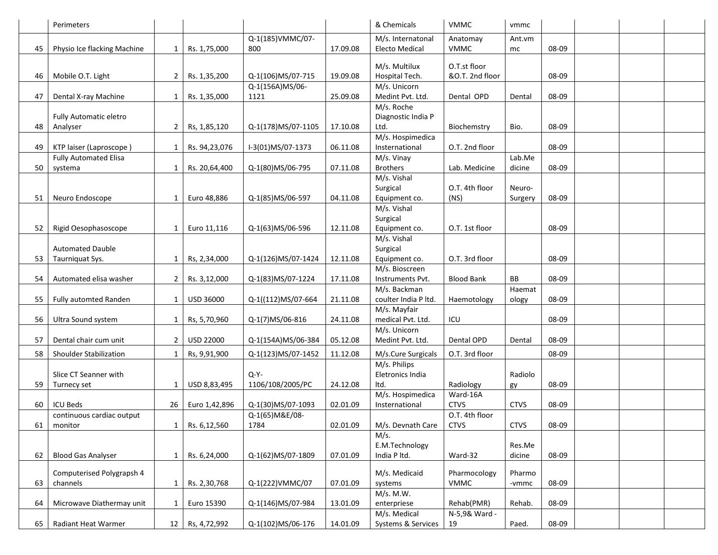|    | Perimeters                   |                |               |                    |          | & Chemicals           | <b>VMMC</b>       | vmmc        |       |  |  |
|----|------------------------------|----------------|---------------|--------------------|----------|-----------------------|-------------------|-------------|-------|--|--|
|    |                              |                |               | Q-1(185)VMMC/07-   |          | M/s. Internatonal     | Anatomay          | Ant.vm      |       |  |  |
| 45 | Physio Ice flacking Machine  | 1              | Rs. 1,75,000  | 800                | 17.09.08 | <b>Electo Medical</b> | <b>VMMC</b>       | mc          | 08-09 |  |  |
|    |                              |                |               |                    |          |                       |                   |             |       |  |  |
|    |                              |                |               |                    |          | M/s. Multilux         | O.T.st floor      |             |       |  |  |
| 46 | Mobile O.T. Light            | $\overline{2}$ | Rs. 1,35,200  | Q-1(106)MS/07-715  | 19.09.08 | Hospital Tech.        | &O.T. 2nd floor   |             | 08-09 |  |  |
|    |                              |                |               | Q-1(156A)MS/06-    |          | M/s. Unicorn          |                   |             |       |  |  |
| 47 | Dental X-ray Machine         | 1              | Rs. 1,35,000  | 1121               | 25.09.08 | Medint Pvt. Ltd.      | Dental OPD        | Dental      | 08-09 |  |  |
|    |                              |                |               |                    |          | M/s. Roche            |                   |             |       |  |  |
|    | Fully Automatic eletro       |                |               |                    |          | Diagnostic India P    |                   |             |       |  |  |
| 48 | Analyser                     | $\overline{2}$ | Rs, 1,85,120  | Q-1(178)MS/07-1105 | 17.10.08 | Ltd.                  | Biochemstry       | Bio.        | 08-09 |  |  |
|    |                              |                |               |                    |          | M/s. Hospimedica      |                   |             |       |  |  |
| 49 | KTP laiser (Laproscope)      | $\mathbf{1}$   | Rs. 94,23,076 | I-3(01)MS/07-1373  | 06.11.08 | Insternational        | O.T. 2nd floor    |             | 08-09 |  |  |
|    | <b>Fully Automated Elisa</b> |                |               |                    |          | M/s. Vinay            |                   | Lab.Me      |       |  |  |
|    |                              |                |               |                    |          | <b>Brothers</b>       |                   |             |       |  |  |
| 50 | systema                      | $\mathbf{1}$   | Rs. 20,64,400 | Q-1(80)MS/06-795   | 07.11.08 |                       | Lab. Medicine     | dicine      | 08-09 |  |  |
|    |                              |                |               |                    |          | M/s. Vishal           |                   |             |       |  |  |
|    |                              |                |               |                    |          | Surgical              | O.T. 4th floor    | Neuro-      |       |  |  |
| 51 | Neuro Endoscope              | 1              | Euro 48,886   | Q-1(85)MS/06-597   | 04.11.08 | Equipment co.         | (NS)              | Surgery     | 08-09 |  |  |
|    |                              |                |               |                    |          | M/s. Vishal           |                   |             |       |  |  |
|    |                              |                |               |                    |          | Surgical              |                   |             |       |  |  |
| 52 | Rigid Oesophasoscope         | $\mathbf{1}$   | Euro 11,116   | Q-1(63)MS/06-596   | 12.11.08 | Equipment co.         | O.T. 1st floor    |             | 08-09 |  |  |
|    |                              |                |               |                    |          | M/s. Vishal           |                   |             |       |  |  |
|    | <b>Automated Dauble</b>      |                |               |                    |          | Surgical              |                   |             |       |  |  |
| 53 | Taurniquat Sys.              | 1              | Rs, 2,34,000  | Q-1(126)MS/07-1424 | 12.11.08 | Equipment co.         | O.T. 3rd floor    |             | 08-09 |  |  |
|    |                              |                |               |                    |          | M/s. Bioscreen        |                   |             |       |  |  |
| 54 | Automated elisa washer       | $\overline{2}$ | Rs. 3,12,000  | Q-1(83)MS/07-1224  | 17.11.08 | Instruments Pvt.      | <b>Blood Bank</b> | BB          | 08-09 |  |  |
|    |                              |                |               |                    |          | M/s. Backman          |                   | Haemat      |       |  |  |
| 55 | Fully automted Randen        | $\mathbf{1}$   | USD 36000     | Q-1((112)MS/07-664 | 21.11.08 | coulter India P ltd.  | Haemotology       | ology       | 08-09 |  |  |
|    |                              |                |               |                    |          | M/s. Mayfair          |                   |             |       |  |  |
| 56 | Ultra Sound system           | $\mathbf{1}$   | Rs, 5,70,960  | Q-1(7)MS/06-816    | 24.11.08 | medical Pvt. Ltd.     | ICU               |             | 08-09 |  |  |
|    |                              |                |               |                    |          | M/s. Unicorn          |                   |             |       |  |  |
| 57 | Dental chair cum unit        | $\overline{2}$ | USD 22000     | Q-1(154A)MS/06-384 | 05.12.08 | Medint Pvt. Ltd.      | Dental OPD        | Dental      | 08-09 |  |  |
|    |                              |                |               |                    |          |                       |                   |             |       |  |  |
| 58 | Shoulder Stabilization       | $\mathbf{1}$   | Rs, 9,91,900  | Q-1(123)MS/07-1452 | 11.12.08 | M/s.Cure Surgicals    | O.T. 3rd floor    |             | 08-09 |  |  |
|    |                              |                |               |                    |          | M/s. Philips          |                   |             |       |  |  |
|    | Slice CT Seanner with        |                |               | $Q-Y-$             |          | Eletronics India      |                   | Radiolo     |       |  |  |
| 59 | Turnecy set                  | 1              | USD 8,83,495  | 1106/108/2005/PC   | 24.12.08 | ltd.                  | Radiology         | gy          | 08-09 |  |  |
|    |                              |                |               |                    |          | M/s. Hospimedica      | Ward-16A          |             |       |  |  |
| 60 | <b>ICU Beds</b>              | 26             | Euro 1,42,896 | Q-1(30)MS/07-1093  | 02.01.09 | Insternational        | <b>CTVS</b>       | <b>CTVS</b> | 08-09 |  |  |
|    | continuous cardiac output    |                |               | Q-1(65) M&E/08-    |          |                       | O.T. 4th floor    |             |       |  |  |
| 61 | monitor                      | 1              | Rs. 6,12,560  | 1784               | 02.01.09 | M/s. Devnath Care     | CTVS              | <b>CTVS</b> | 08-09 |  |  |
|    |                              |                |               |                    |          | M/s.                  |                   |             |       |  |  |
|    |                              |                |               |                    |          | E.M.Technology        |                   | Res.Me      |       |  |  |
| 62 | <b>Blood Gas Analyser</b>    | $\mathbf{1}$   | Rs. 6,24,000  | Q-1(62)MS/07-1809  | 07.01.09 | India P ltd.          | Ward-32           | dicine      | 08-09 |  |  |
|    |                              |                |               |                    |          |                       |                   |             |       |  |  |
|    | Computerised Polygrapsh 4    |                |               |                    |          | M/s. Medicaid         | Pharmocology      | Pharmo      |       |  |  |
| 63 | channels                     | 1              | Rs. 2,30,768  | Q-1(222)VMMC/07    | 07.01.09 | systems               | <b>VMMC</b>       | -vmmc       | 08-09 |  |  |
|    |                              |                |               |                    |          | M/s. M.W.             |                   |             |       |  |  |
| 64 | Microwave Diathermay unit    | 1              | Euro 15390    | Q-1(146)MS/07-984  | 13.01.09 | enterpriese           | Rehab(PMR)        | Rehab.      | 08-09 |  |  |
|    |                              |                |               |                    |          | M/s. Medical          | N-5,9& Ward -     |             |       |  |  |
| 65 | Radiant Heat Warmer          | 12             | Rs, 4,72,992  | Q-1(102)MS/06-176  | 14.01.09 | Systems & Services    | 19                | Paed.       | 08-09 |  |  |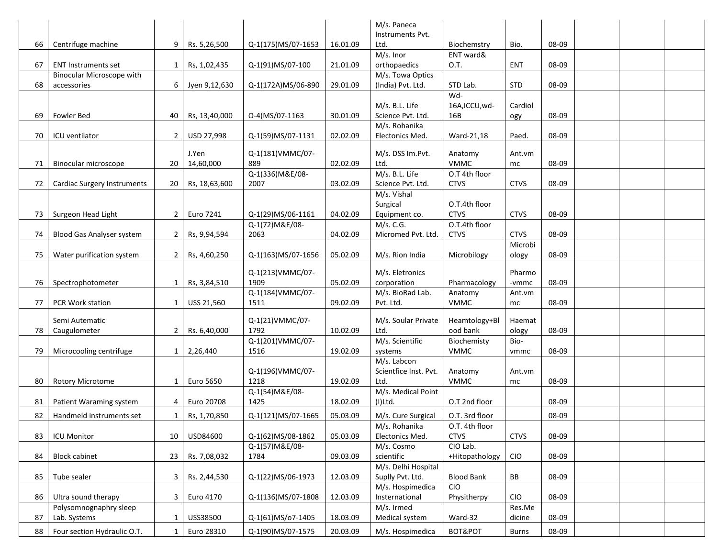|    |                             |                |               |                    |          | M/s. Paneca           |                   |             |       |  |  |
|----|-----------------------------|----------------|---------------|--------------------|----------|-----------------------|-------------------|-------------|-------|--|--|
|    |                             |                |               |                    |          | Instruments Pvt.      |                   |             |       |  |  |
| 66 | Centrifuge machine          | 9              | Rs. 5,26,500  | Q-1(175)MS/07-1653 | 16.01.09 | Ltd.                  | Biochemstry       | Bio.        | 08-09 |  |  |
|    |                             |                |               |                    |          | M/s. Inor             | ENT ward&         |             |       |  |  |
| 67 | <b>ENT Instruments set</b>  | 1              | Rs, 1,02,435  | Q-1(91)MS/07-100   | 21.01.09 | orthopaedics          | 0.T.              | <b>ENT</b>  | 08-09 |  |  |
|    | Binocular Microscope with   |                |               |                    |          | M/s. Towa Optics      |                   |             |       |  |  |
| 68 | accessories                 | 6              | Jyen 9,12,630 | Q-1(172A)MS/06-890 | 29.01.09 | (India) Pvt. Ltd.     | STD Lab.          | <b>STD</b>  | 08-09 |  |  |
|    |                             |                |               |                    |          |                       | Wd-               |             |       |  |  |
|    |                             |                |               |                    |          | M/s. B.L. Life        | 16A,ICCU,wd-      | Cardiol     |       |  |  |
| 69 | Fowler Bed                  | 40             | Rs, 13,40,000 | O-4(MS/07-1163     | 30.01.09 | Science Pvt. Ltd.     | 16B               | ogy         | 08-09 |  |  |
|    |                             |                |               |                    |          | M/s. Rohanika         |                   |             |       |  |  |
| 70 | ICU ventilator              | $\overline{2}$ | USD 27,998    | Q-1(59)MS/07-1131  | 02.02.09 | Electonics Med.       | Ward-21,18        | Paed.       | 08-09 |  |  |
|    |                             |                | J.Yen         | Q-1(181)VMMC/07-   |          | M/s. DSS Im.Pvt.      | Anatomy           | Ant.vm      |       |  |  |
| 71 | Binocular microscope        | 20             | 14,60,000     | 889                | 02.02.09 | Ltd.                  | <b>VMMC</b>       | mc          | 08-09 |  |  |
|    |                             |                |               | Q-1(336) M&E/08-   |          | M/s. B.L. Life        | O.T 4th floor     |             |       |  |  |
| 72 | Cardiac Surgery Instruments | 20             | Rs, 18,63,600 | 2007               | 03.02.09 | Science Pvt. Ltd.     | <b>CTVS</b>       | <b>CTVS</b> | 08-09 |  |  |
|    |                             |                |               |                    |          | M/s. Vishal           |                   |             |       |  |  |
|    |                             |                |               |                    |          | Surgical              | O.T.4th floor     |             |       |  |  |
| 73 | Surgeon Head Light          | $2^{\circ}$    | Euro 7241     | Q-1(29)MS/06-1161  | 04.02.09 | Equipment co.         | <b>CTVS</b>       | <b>CTVS</b> | 08-09 |  |  |
|    |                             |                |               | Q-1(72) M&E/08-    |          | M/s. C.G.             | O.T.4th floor     |             |       |  |  |
| 74 | Blood Gas Analyser system   | $\overline{2}$ | Rs, 9,94,594  | 2063               | 04.02.09 | Micromed Pvt. Ltd.    | <b>CTVS</b>       | <b>CTVS</b> | 08-09 |  |  |
|    |                             |                |               |                    |          |                       |                   | Microbi     |       |  |  |
| 75 | Water purification system   | $\overline{2}$ | Rs, 4,60,250  | Q-1(163)MS/07-1656 | 05.02.09 | M/s. Rion India       | Microbilogy       | ology       | 08-09 |  |  |
|    |                             |                |               |                    |          |                       |                   |             |       |  |  |
|    |                             |                |               | Q-1(213)VMMC/07-   |          | M/s. Eletronics       |                   | Pharmo      |       |  |  |
| 76 | Spectrophotometer           | $\mathbf{1}$   | Rs, 3,84,510  | 1909               | 05.02.09 | corporation           | Pharmacology      | -vmmc       | 08-09 |  |  |
|    |                             |                |               | Q-1(184) VMMC/07-  |          | M/s. BioRad Lab.      | Anatomy           | Ant.vm      |       |  |  |
| 77 | PCR Work station            | $\mathbf{1}$   | USS 21,560    | 1511               | 09.02.09 | Pvt. Ltd.             | <b>VMMC</b>       | mc          | 08-09 |  |  |
|    |                             |                |               |                    |          |                       |                   |             |       |  |  |
|    | Semi Autematic              |                |               | Q-1(21)VMMC/07-    |          | M/s. Soular Private   | Heamtology+Bl     | Haemat      |       |  |  |
| 78 | Caugulometer                | $\overline{2}$ | Rs. 6,40,000  | 1792               | 10.02.09 | Ltd.                  | ood bank          | ology       | 08-09 |  |  |
|    |                             |                |               | Q-1(201)VMMC/07-   |          | M/s. Scientific       | Biochemisty       | Bio-        |       |  |  |
| 79 | Microcooling centrifuge     | 1              | 2,26,440      | 1516               | 19.02.09 | systems               | <b>VMMC</b>       | vmmc        | 08-09 |  |  |
|    |                             |                |               |                    |          | M/s. Labcon           |                   |             |       |  |  |
|    |                             |                |               | Q-1(196)VMMC/07-   |          | Scientfice Inst. Pvt. | Anatomy           | Ant.vm      |       |  |  |
| 80 | <b>Rotory Microtome</b>     | $\mathbf{1}$   | Euro 5650     | 1218               | 19.02.09 | Ltd.                  | VMMC              | mc          | 08-09 |  |  |
|    |                             |                |               | Q-1(54) M&E/08-    |          | M/s. Medical Point    |                   |             |       |  |  |
| 81 | Patient Waraming system     | 4              | Euro 20708    | 1425               | 18.02.09 | $(I)$ Ltd.            | O.T 2nd floor     |             | 08-09 |  |  |
| 82 | Handmeld instruments set    | $\mathbf{1}$   | Rs, 1,70,850  | Q-1(121)MS/07-1665 | 05.03.09 | M/s. Cure Surgical    | O.T. 3rd floor    |             | 08-09 |  |  |
|    |                             |                |               |                    |          | M/s. Rohanika         | O.T. 4th floor    |             |       |  |  |
| 83 | <b>ICU Monitor</b>          | 10             | USD84600      | Q-1(62)MS/08-1862  | 05.03.09 | Electonics Med.       | <b>CTVS</b>       | <b>CTVS</b> | 08-09 |  |  |
|    |                             |                |               | Q-1(57) M&E/08-    |          | M/s. Cosmo            | CIO Lab.          |             |       |  |  |
| 84 | <b>Block cabinet</b>        | 23             | Rs. 7,08,032  | 1784               | 09.03.09 | scientific            | +Hitopathology    | <b>CIO</b>  | 08-09 |  |  |
|    |                             |                |               |                    |          | M/s. Delhi Hospital   |                   |             |       |  |  |
| 85 | Tube sealer                 | 3              | Rs. 2,44,530  | Q-1(22)MS/06-1973  | 12.03.09 | Suplly Pvt. Ltd.      | <b>Blood Bank</b> | BB          | 08-09 |  |  |
|    |                             |                |               |                    |          | M/s. Hospimedica      | <b>CIO</b>        |             |       |  |  |
| 86 | Ultra sound therapy         | 3              | Euro 4170     | Q-1(136)MS/07-1808 | 12.03.09 | Insternational        | Physitherpy       | <b>CIO</b>  | 08-09 |  |  |
|    | Polysomnognaphry sleep      |                |               |                    |          | M/s. Irmed            |                   | Res.Me      |       |  |  |
| 87 | Lab. Systems                | $\mathbf{1}$   | USS38500      | Q-1(61)MS/o7-1405  | 18.03.09 | Medical system        | Ward-32           | dicine      | 08-09 |  |  |
| 88 | Four section Hydraulic O.T. | $\mathbf{1}$   | Euro 28310    | Q-1(90)MS/07-1575  | 20.03.09 | M/s. Hospimedica      | BOT&POT           | Burns       | 08-09 |  |  |